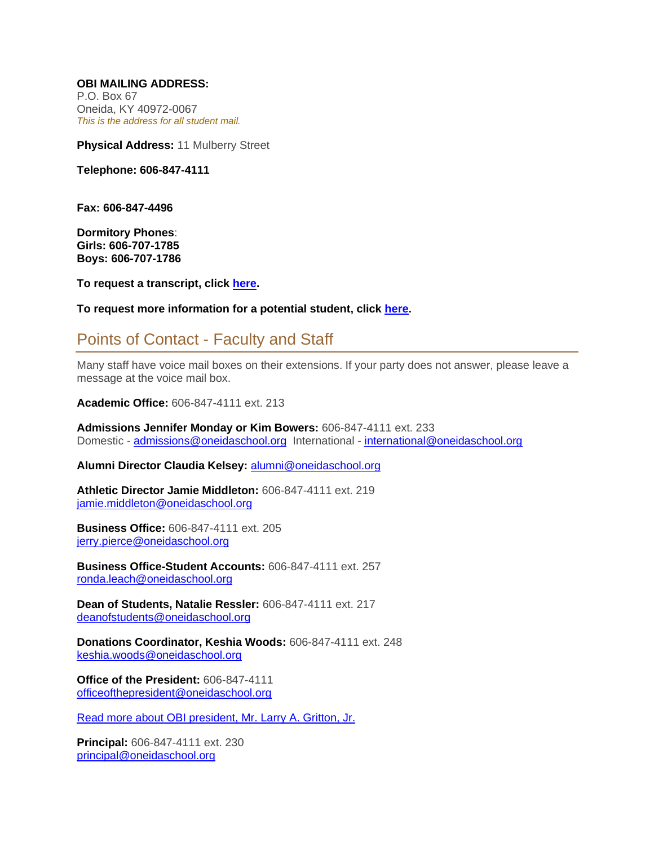**OBI MAILING ADDRESS:** P.O. Box 67 Oneida, KY 40972-0067 *This is the address for all student mail.*

**Physical Address:** 11 Mulberry Street

**Telephone: 606-847-4111**

**Fax: 606-847-4496**

**Dormitory Phones**: **Girls: 606-707-1785 Boys: 606-707-1786**

**To request a transcript, click [here.](https://docs.google.com/forms/d/1xfqyKLrYpbOgBer7-DQUYRABOkHhPocO9ZiBCQx5DBo/viewform?c=0&w=1)**

**To request more information for a potential student, click [here.](https://ob-ky.client.renweb.com/oa/inquiry.cfm?memberid=1332)**

## Points of Contact - Faculty and Staff

Many staff have voice mail boxes on their extensions. If your party does not answer, please leave a message at the voice mail box.

**Academic Office:** 606-847-4111 ext. 213

**Admissions Jennifer Monday or Kim Bowers:** 606-847-4111 ext. 233 Domestic - [admissions@oneidaschool.org](mailto:admissions@oneidaschool.org) International - [international@oneidaschool.org](mailto:international@oneidaschool.org)

**Alumni Director Claudia Kelsey:** [alumni@oneidaschool.org](mailto:alumni@oneidaschool.org)

**Athletic Director Jamie Middleton:** 606-847-4111 ext. 219 [jamie.middleton@oneidaschool.org](mailto:jamie.middleton@oneidaschool.org)

**Business Office:** 606-847-4111 ext. 205 [jerry.pierce@oneidaschool.org](mailto:jerry.pierce@oneidaschool.org)

**Business Office-Student Accounts:** 606-847-4111 ext. 257 [ronda.leach@oneidaschool.org](mailto:ronda.leach@oneidaschool.org)

**Dean of Students, Natalie Ressler:** 606-847-4111 ext. 217 [deanofstudents@oneidaschool.org](mailto:deanofstudents@oneidaschool.org)

**Donations Coordinator, Keshia Woods:** 606-847-4111 ext. 248 [keshia.woods@oneidaschool.org](mailto:keshia.woods@oneidaschool.org)

**Office of the President:** 606-847-4111 [officeofthepresident@oneidaschool.org](mailto:officeofthepresident@oneidaschool.org)

[Read more about OBI president, Mr. Larry A. Gritton, Jr.](https://www.oneidaschool.org/pdf/Gritton%20bio%20for%20site%20HQ.pdf)

**Principal:** 606-847-4111 ext. 230 [principal@oneidaschool.org](mailto:principal@oneidaschool.org)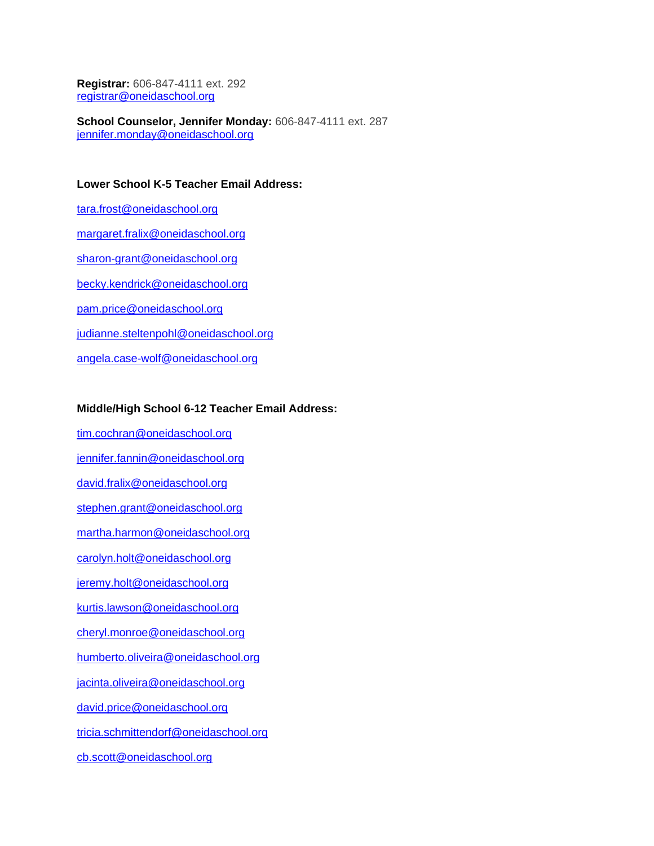**Registrar:** 606-847-4111 ext. 292 [registrar@oneidaschool.org](mailto:registrar@oneidaschool.org)

**School Counselor, Jennifer Monday:** 606-847-4111 ext. 287 [jennifer.monday@oneidaschool.org](mailto:jennifer.monday@oneidaschool.org)

## **Lower School K-5 Teacher Email Address:**

[tara.frost@oneidaschool.org](mailto:tara.frost@oneidaschool.org) [margaret.fralix@oneidaschool.org](mailto:margaret.fralix@oneidaschool.org) [sharon-grant@oneidaschool.org](mailto:sharon-grant@oneidaschool.org) [becky.kendrick@oneidaschool.org](mailto:becky.kendrick@oneidaschool.org) [pam.price@oneidaschool.org](mailto:pam.price@oneidaschool.org) [judianne.steltenpohl@oneidaschool.org](mailto:judianne.steltenpohl@oneidaschool.org) [angela.case-wolf@oneidaschool.org](mailto:angela.case-wolf@oneidaschool.org)

## **Middle/High School 6-12 Teacher Email Address:**

[tim.cochran@oneidaschool.org](mailto:tim.cochran@oneidaschool.org) [jennifer.fannin@oneidaschool.org](mailto:jennifer.fannin@oneidaschool.org) [david.fralix@oneidaschool.org](mailto:david.fralix@oneidaschool.org) [stephen.grant@oneidaschool.org](mailto:stephen.grant@oneidaschool.org) [martha.harmon@oneidaschool.org](mailto:martha.harmon@oneidaschool.org) [carolyn.holt@oneidaschool.org](mailto:carolyn.holt@oneidaschool.org) [jeremy.holt@oneidaschool.org](mailto:jeremy.holt@oneidaschool.org) [kurtis.lawson@oneidaschool.org](mailto:kurtis.lawson@oneidaschool.org) [cheryl.monroe@oneidaschool.org](mailto:cheryl.monroe@oneidaschool.org) [humberto.oliveira@oneidaschool.org](mailto:humberto.oliveira@oneidaschool.org) [jacinta.oliveira@oneidaschool.org](mailto:jacinta.oliveira@oneidaschool.org) [david.price@oneidaschool.org](mailto:david.price@oneidaschool.org)

[tricia.schmittendorf@oneidaschool.org](mailto:tricia.schmittendorf@oneidaschool.org)

[cb.scott@oneidaschool.org](mailto:cb.scott@oneidaschool.org)